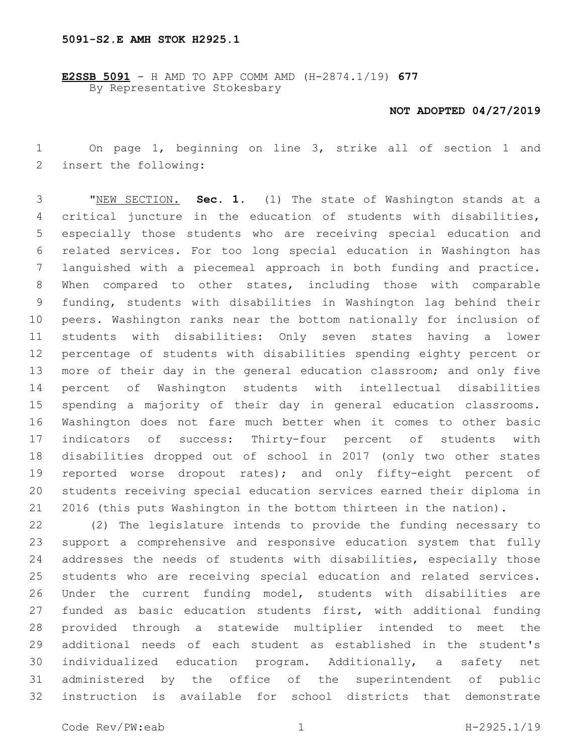## **5091-S2.E AMH STOK H2925.1**

**E2SSB 5091** - H AMD TO APP COMM AMD (H-2874.1/19) **677** By Representative Stokesbary

## **NOT ADOPTED 04/27/2019**

 On page 1, beginning on line 3, strike all of section 1 and 2 insert the following:

 "NEW SECTION. **Sec. 1.** (1) The state of Washington stands at a critical juncture in the education of students with disabilities, especially those students who are receiving special education and related services. For too long special education in Washington has languished with a piecemeal approach in both funding and practice. When compared to other states, including those with comparable funding, students with disabilities in Washington lag behind their peers. Washington ranks near the bottom nationally for inclusion of students with disabilities: Only seven states having a lower percentage of students with disabilities spending eighty percent or 13 more of their day in the general education classroom; and only five percent of Washington students with intellectual disabilities spending a majority of their day in general education classrooms. Washington does not fare much better when it comes to other basic indicators of success: Thirty-four percent of students with disabilities dropped out of school in 2017 (only two other states 19 reported worse dropout rates); and only fifty-eight percent of students receiving special education services earned their diploma in 2016 (this puts Washington in the bottom thirteen in the nation).

 (2) The legislature intends to provide the funding necessary to support a comprehensive and responsive education system that fully addresses the needs of students with disabilities, especially those students who are receiving special education and related services. Under the current funding model, students with disabilities are funded as basic education students first, with additional funding provided through a statewide multiplier intended to meet the additional needs of each student as established in the student's individualized education program. Additionally, a safety net administered by the office of the superintendent of public instruction is available for school districts that demonstrate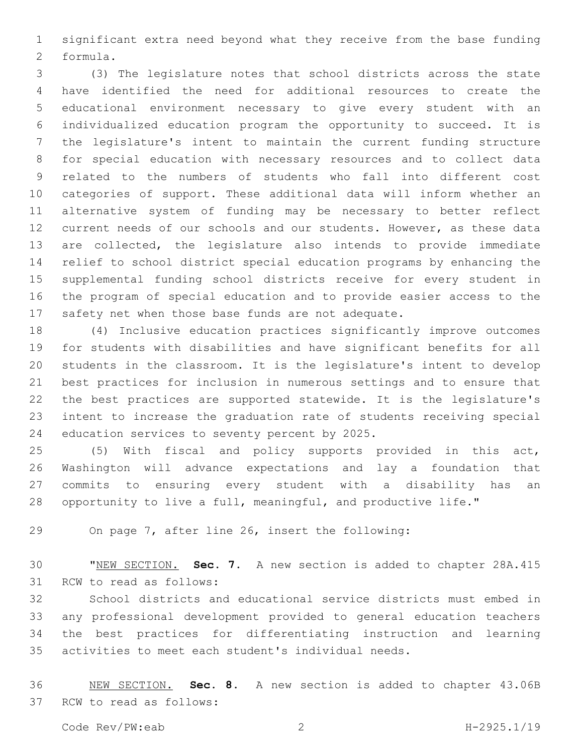significant extra need beyond what they receive from the base funding 2 formula.

 (3) The legislature notes that school districts across the state have identified the need for additional resources to create the educational environment necessary to give every student with an individualized education program the opportunity to succeed. It is the legislature's intent to maintain the current funding structure for special education with necessary resources and to collect data related to the numbers of students who fall into different cost categories of support. These additional data will inform whether an alternative system of funding may be necessary to better reflect current needs of our schools and our students. However, as these data are collected, the legislature also intends to provide immediate relief to school district special education programs by enhancing the supplemental funding school districts receive for every student in the program of special education and to provide easier access to the safety net when those base funds are not adequate.

 (4) Inclusive education practices significantly improve outcomes for students with disabilities and have significant benefits for all students in the classroom. It is the legislature's intent to develop best practices for inclusion in numerous settings and to ensure that the best practices are supported statewide. It is the legislature's intent to increase the graduation rate of students receiving special 24 education services to seventy percent by 2025.

 (5) With fiscal and policy supports provided in this act, Washington will advance expectations and lay a foundation that commits to ensuring every student with a disability has an opportunity to live a full, meaningful, and productive life."

On page 7, after line 26, insert the following:

 "NEW SECTION. **Sec. 7.** A new section is added to chapter 28A.415 31 RCW to read as follows:

 School districts and educational service districts must embed in any professional development provided to general education teachers the best practices for differentiating instruction and learning activities to meet each student's individual needs.

 NEW SECTION. **Sec. 8.** A new section is added to chapter 43.06B 37 RCW to read as follows: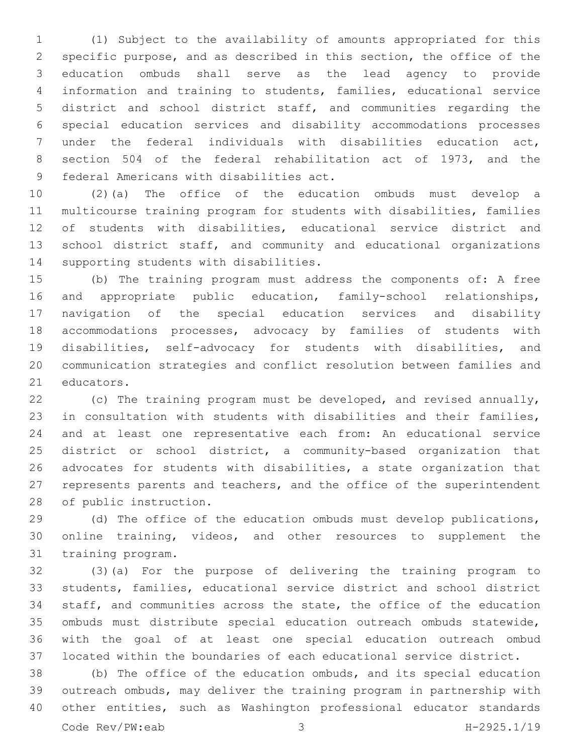(1) Subject to the availability of amounts appropriated for this specific purpose, and as described in this section, the office of the education ombuds shall serve as the lead agency to provide information and training to students, families, educational service district and school district staff, and communities regarding the special education services and disability accommodations processes under the federal individuals with disabilities education act, section 504 of the federal rehabilitation act of 1973, and the 9 federal Americans with disabilities act.

 (2)(a) The office of the education ombuds must develop a multicourse training program for students with disabilities, families of students with disabilities, educational service district and 13 school district staff, and community and educational organizations 14 supporting students with disabilities.

 (b) The training program must address the components of: A free and appropriate public education, family-school relationships, navigation of the special education services and disability accommodations processes, advocacy by families of students with disabilities, self-advocacy for students with disabilities, and communication strategies and conflict resolution between families and 21 educators.

 (c) The training program must be developed, and revised annually, in consultation with students with disabilities and their families, and at least one representative each from: An educational service district or school district, a community-based organization that advocates for students with disabilities, a state organization that represents parents and teachers, and the office of the superintendent 28 of public instruction.

 (d) The office of the education ombuds must develop publications, online training, videos, and other resources to supplement the 31 training program.

 (3)(a) For the purpose of delivering the training program to students, families, educational service district and school district staff, and communities across the state, the office of the education ombuds must distribute special education outreach ombuds statewide, with the goal of at least one special education outreach ombud located within the boundaries of each educational service district.

 (b) The office of the education ombuds, and its special education outreach ombuds, may deliver the training program in partnership with other entities, such as Washington professional educator standards Code Rev/PW:eab 3 H-2925.1/19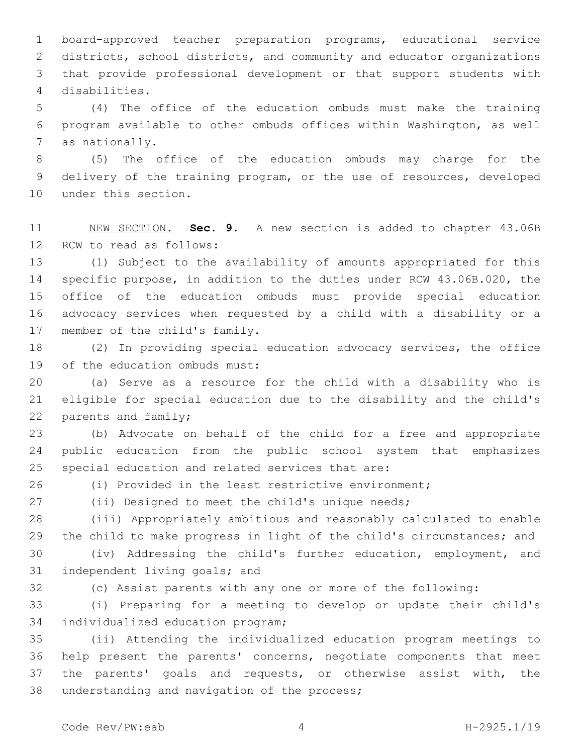board-approved teacher preparation programs, educational service districts, school districts, and community and educator organizations that provide professional development or that support students with disabilities.4

 (4) The office of the education ombuds must make the training program available to other ombuds offices within Washington, as well 7 as nationally.

 (5) The office of the education ombuds may charge for the delivery of the training program, or the use of resources, developed 10 under this section.

 NEW SECTION. **Sec. 9.** A new section is added to chapter 43.06B 12 RCW to read as follows:

 (1) Subject to the availability of amounts appropriated for this specific purpose, in addition to the duties under RCW 43.06B.020, the office of the education ombuds must provide special education advocacy services when requested by a child with a disability or a 17 member of the child's family.

 (2) In providing special education advocacy services, the office 19 of the education ombuds must:

 (a) Serve as a resource for the child with a disability who is eligible for special education due to the disability and the child's 22 parents and family;

 (b) Advocate on behalf of the child for a free and appropriate public education from the public school system that emphasizes 25 special education and related services that are:

(i) Provided in the least restrictive environment;

(ii) Designed to meet the child's unique needs;

 (iii) Appropriately ambitious and reasonably calculated to enable the child to make progress in light of the child's circumstances; and

 (iv) Addressing the child's further education, employment, and 31 independent living goals; and

(c) Assist parents with any one or more of the following:

 (i) Preparing for a meeting to develop or update their child's 34 individualized education program;

 (ii) Attending the individualized education program meetings to help present the parents' concerns, negotiate components that meet the parents' goals and requests, or otherwise assist with, the 38 understanding and navigation of the process;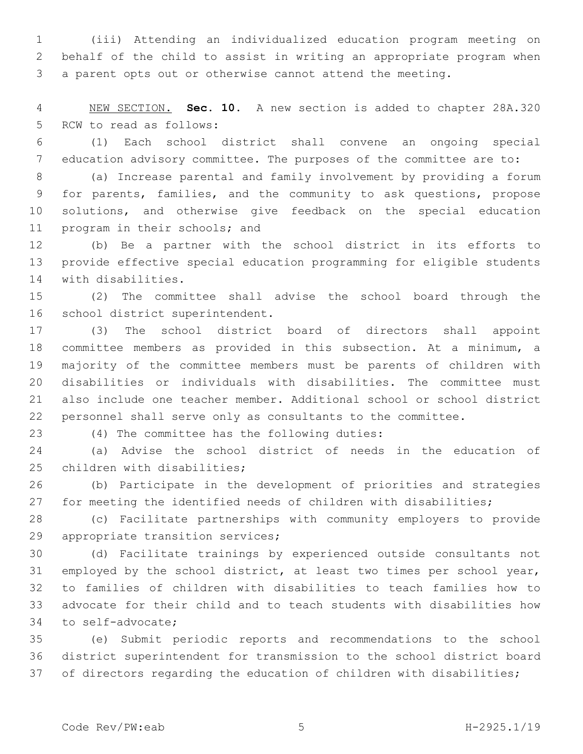(iii) Attending an individualized education program meeting on behalf of the child to assist in writing an appropriate program when a parent opts out or otherwise cannot attend the meeting.

 NEW SECTION. **Sec. 10.** A new section is added to chapter 28A.320 5 RCW to read as follows:

 (1) Each school district shall convene an ongoing special education advisory committee. The purposes of the committee are to:

 (a) Increase parental and family involvement by providing a forum for parents, families, and the community to ask questions, propose solutions, and otherwise give feedback on the special education 11 program in their schools; and

 (b) Be a partner with the school district in its efforts to provide effective special education programming for eligible students 14 with disabilities.

 (2) The committee shall advise the school board through the 16 school district superintendent.

 (3) The school district board of directors shall appoint committee members as provided in this subsection. At a minimum, a majority of the committee members must be parents of children with disabilities or individuals with disabilities. The committee must also include one teacher member. Additional school or school district personnel shall serve only as consultants to the committee.

(4) The committee has the following duties:23

 (a) Advise the school district of needs in the education of 25 children with disabilities;

 (b) Participate in the development of priorities and strategies for meeting the identified needs of children with disabilities;

 (c) Facilitate partnerships with community employers to provide 29 appropriate transition services;

 (d) Facilitate trainings by experienced outside consultants not employed by the school district, at least two times per school year, to families of children with disabilities to teach families how to advocate for their child and to teach students with disabilities how 34 to self-advocate;

 (e) Submit periodic reports and recommendations to the school district superintendent for transmission to the school district board of directors regarding the education of children with disabilities;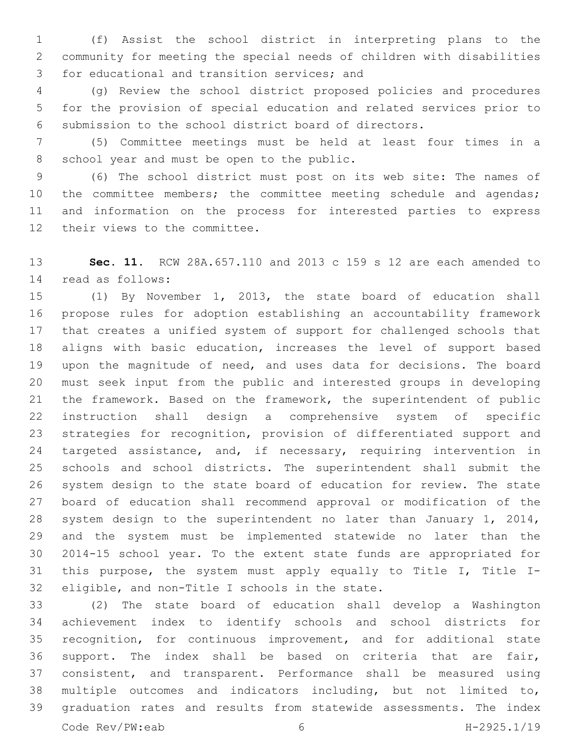(f) Assist the school district in interpreting plans to the community for meeting the special needs of children with disabilities 3 for educational and transition services; and

 (g) Review the school district proposed policies and procedures for the provision of special education and related services prior to submission to the school district board of directors.

 (5) Committee meetings must be held at least four times in a 8 school year and must be open to the public.

 (6) The school district must post on its web site: The names of 10 the committee members; the committee meeting schedule and agendas; and information on the process for interested parties to express 12 their views to the committee.

 **Sec. 11.** RCW 28A.657.110 and 2013 c 159 s 12 are each amended to read as follows:14

 (1) By November 1, 2013, the state board of education shall propose rules for adoption establishing an accountability framework that creates a unified system of support for challenged schools that aligns with basic education, increases the level of support based upon the magnitude of need, and uses data for decisions. The board must seek input from the public and interested groups in developing the framework. Based on the framework, the superintendent of public instruction shall design a comprehensive system of specific strategies for recognition, provision of differentiated support and 24 targeted assistance, and, if necessary, requiring intervention in schools and school districts. The superintendent shall submit the system design to the state board of education for review. The state board of education shall recommend approval or modification of the system design to the superintendent no later than January 1, 2014, and the system must be implemented statewide no later than the 2014-15 school year. To the extent state funds are appropriated for this purpose, the system must apply equally to Title I, Title I-32 eligible, and non-Title I schools in the state.

 (2) The state board of education shall develop a Washington achievement index to identify schools and school districts for recognition, for continuous improvement, and for additional state support. The index shall be based on criteria that are fair, consistent, and transparent. Performance shall be measured using multiple outcomes and indicators including, but not limited to, graduation rates and results from statewide assessments. The index Code Rev/PW:eab 6 H-2925.1/19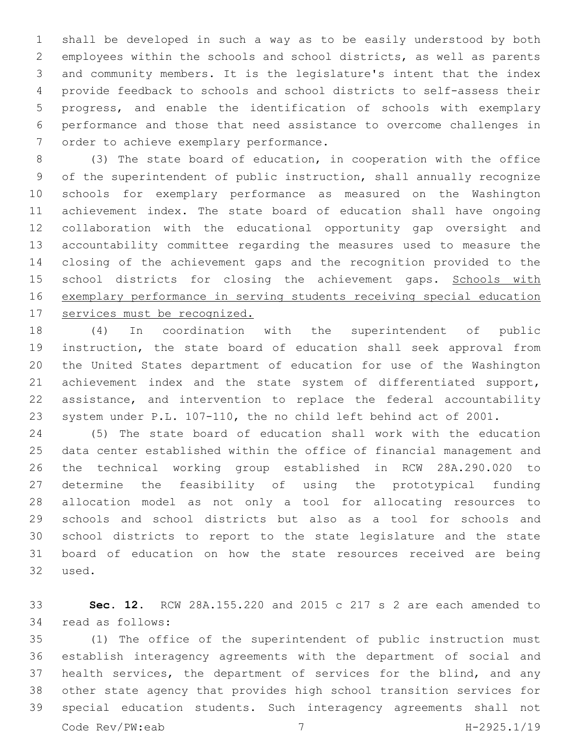shall be developed in such a way as to be easily understood by both employees within the schools and school districts, as well as parents and community members. It is the legislature's intent that the index provide feedback to schools and school districts to self-assess their progress, and enable the identification of schools with exemplary performance and those that need assistance to overcome challenges in 7 order to achieve exemplary performance.

 (3) The state board of education, in cooperation with the office of the superintendent of public instruction, shall annually recognize schools for exemplary performance as measured on the Washington achievement index. The state board of education shall have ongoing collaboration with the educational opportunity gap oversight and accountability committee regarding the measures used to measure the closing of the achievement gaps and the recognition provided to the 15 school districts for closing the achievement gaps. Schools with exemplary performance in serving students receiving special education services must be recognized.

 (4) In coordination with the superintendent of public instruction, the state board of education shall seek approval from the United States department of education for use of the Washington 21 achievement index and the state system of differentiated support, assistance, and intervention to replace the federal accountability system under P.L. 107-110, the no child left behind act of 2001.

 (5) The state board of education shall work with the education data center established within the office of financial management and the technical working group established in RCW 28A.290.020 to determine the feasibility of using the prototypical funding allocation model as not only a tool for allocating resources to schools and school districts but also as a tool for schools and school districts to report to the state legislature and the state board of education on how the state resources received are being 32 used.

 **Sec. 12.** RCW 28A.155.220 and 2015 c 217 s 2 are each amended to 34 read as follows:

 (1) The office of the superintendent of public instruction must establish interagency agreements with the department of social and health services, the department of services for the blind, and any other state agency that provides high school transition services for special education students. Such interagency agreements shall not Code Rev/PW:eab 7 H-2925.1/19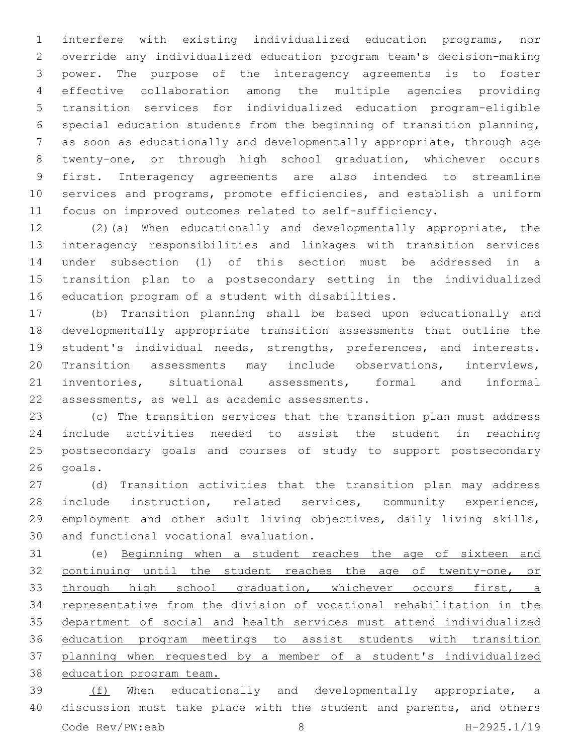interfere with existing individualized education programs, nor override any individualized education program team's decision-making power. The purpose of the interagency agreements is to foster effective collaboration among the multiple agencies providing transition services for individualized education program-eligible special education students from the beginning of transition planning, as soon as educationally and developmentally appropriate, through age twenty-one, or through high school graduation, whichever occurs first. Interagency agreements are also intended to streamline services and programs, promote efficiencies, and establish a uniform focus on improved outcomes related to self-sufficiency.

 (2)(a) When educationally and developmentally appropriate, the interagency responsibilities and linkages with transition services under subsection (1) of this section must be addressed in a transition plan to a postsecondary setting in the individualized 16 education program of a student with disabilities.

 (b) Transition planning shall be based upon educationally and developmentally appropriate transition assessments that outline the student's individual needs, strengths, preferences, and interests. Transition assessments may include observations, interviews, inventories, situational assessments, formal and informal 22 assessments, as well as academic assessments.

 (c) The transition services that the transition plan must address include activities needed to assist the student in reaching postsecondary goals and courses of study to support postsecondary 26 goals.

 (d) Transition activities that the transition plan may address include instruction, related services, community experience, employment and other adult living objectives, daily living skills, 30 and functional vocational evaluation.

 (e) Beginning when a student reaches the age of sixteen and continuing until the student reaches the age of twenty-one, or 33 through high school graduation, whichever occurs first, a representative from the division of vocational rehabilitation in the department of social and health services must attend individualized education program meetings to assist students with transition planning when requested by a member of a student's individualized education program team.

39 (f) When educationally and developmentally appropriate, a discussion must take place with the student and parents, and others Code Rev/PW:eab 8 H-2925.1/19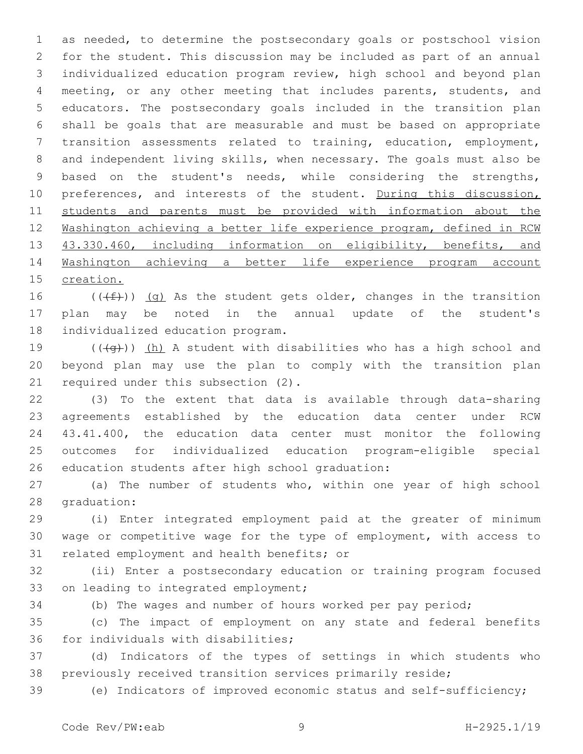as needed, to determine the postsecondary goals or postschool vision for the student. This discussion may be included as part of an annual individualized education program review, high school and beyond plan meeting, or any other meeting that includes parents, students, and educators. The postsecondary goals included in the transition plan shall be goals that are measurable and must be based on appropriate transition assessments related to training, education, employment, and independent living skills, when necessary. The goals must also be based on the student's needs, while considering the strengths, 10 preferences, and interests of the student. During this discussion, students and parents must be provided with information about the Washington achieving a better life experience program, defined in RCW 13 43.330.460, including information on eligibility, benefits, and Washington achieving a better life experience program account creation.

16 ( $(\text{+f})$ ) (g) As the student gets older, changes in the transition plan may be noted in the annual update of the student's 18 individualized education program.

19  $((+q))$  (h) A student with disabilities who has a high school and beyond plan may use the plan to comply with the transition plan 21 required under this subsection  $(2)$ .

 (3) To the extent that data is available through data-sharing agreements established by the education data center under RCW 43.41.400, the education data center must monitor the following outcomes for individualized education program-eligible special 26 education students after high school graduation:

 (a) The number of students who, within one year of high school 28 graduation:

 (i) Enter integrated employment paid at the greater of minimum wage or competitive wage for the type of employment, with access to 31 related employment and health benefits; or

 (ii) Enter a postsecondary education or training program focused 33 on leading to integrated employment;

(b) The wages and number of hours worked per pay period;

 (c) The impact of employment on any state and federal benefits 36 for individuals with disabilities;

 (d) Indicators of the types of settings in which students who previously received transition services primarily reside;

(e) Indicators of improved economic status and self-sufficiency;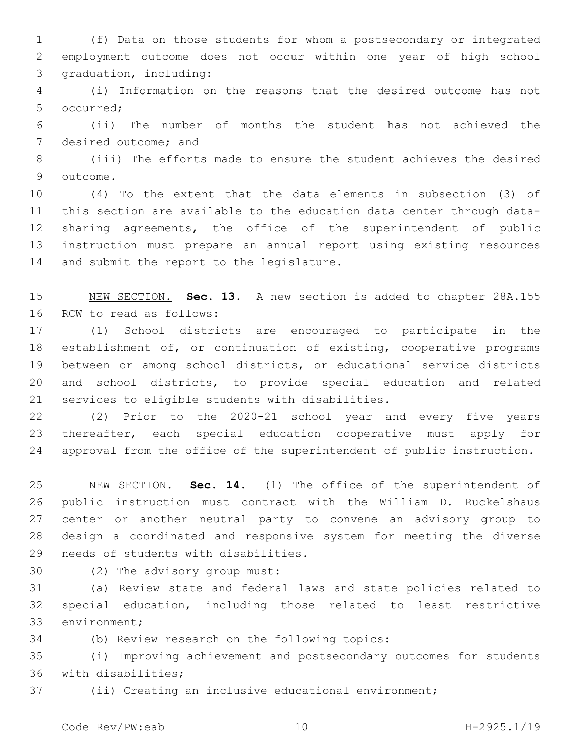(f) Data on those students for whom a postsecondary or integrated employment outcome does not occur within one year of high school 3 graduation, including:

 (i) Information on the reasons that the desired outcome has not 5 occurred:

 (ii) The number of months the student has not achieved the 7 desired outcome; and

 (iii) The efforts made to ensure the student achieves the desired 9 outcome.

 (4) To the extent that the data elements in subsection (3) of this section are available to the education data center through data- sharing agreements, the office of the superintendent of public instruction must prepare an annual report using existing resources 14 and submit the report to the legislature.

 NEW SECTION. **Sec. 13.** A new section is added to chapter 28A.155 16 RCW to read as follows:

 (1) School districts are encouraged to participate in the establishment of, or continuation of existing, cooperative programs between or among school districts, or educational service districts and school districts, to provide special education and related 21 services to eligible students with disabilities.

 (2) Prior to the 2020-21 school year and every five years thereafter, each special education cooperative must apply for approval from the office of the superintendent of public instruction.

 NEW SECTION. **Sec. 14.** (1) The office of the superintendent of public instruction must contract with the William D. Ruckelshaus center or another neutral party to convene an advisory group to design a coordinated and responsive system for meeting the diverse needs of students with disabilities.

30 (2) The advisory group must:

 (a) Review state and federal laws and state policies related to special education, including those related to least restrictive 33 environment;

34 (b) Review research on the following topics:

 (i) Improving achievement and postsecondary outcomes for students 36 with disabilities;

(ii) Creating an inclusive educational environment;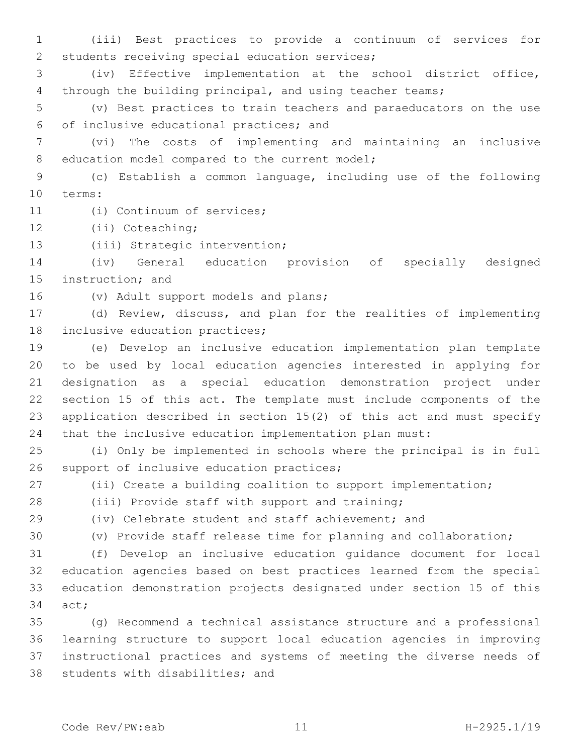(iii) Best practices to provide a continuum of services for 2 students receiving special education services;

 (iv) Effective implementation at the school district office, through the building principal, and using teacher teams;

 (v) Best practices to train teachers and paraeducators on the use of inclusive educational practices; and6

 (vi) The costs of implementing and maintaining an inclusive 8 education model compared to the current model;

 (c) Establish a common language, including use of the following 10 terms:

11 (i) Continuum of services;

12 (ii) Coteaching;

13 (iii) Strategic intervention;

 (iv) General education provision of specially designed 15 instruction; and

16 (v) Adult support models and plans;

 (d) Review, discuss, and plan for the realities of implementing 18 inclusive education practices;

 (e) Develop an inclusive education implementation plan template to be used by local education agencies interested in applying for designation as a special education demonstration project under section 15 of this act. The template must include components of the application described in section 15(2) of this act and must specify that the inclusive education implementation plan must:

 (i) Only be implemented in schools where the principal is in full 26 support of inclusive education practices;

(ii) Create a building coalition to support implementation;

(iii) Provide staff with support and training;

(iv) Celebrate student and staff achievement; and

(v) Provide staff release time for planning and collaboration;

 (f) Develop an inclusive education guidance document for local education agencies based on best practices learned from the special education demonstration projects designated under section 15 of this 34 act;

 (g) Recommend a technical assistance structure and a professional learning structure to support local education agencies in improving instructional practices and systems of meeting the diverse needs of 38 students with disabilities; and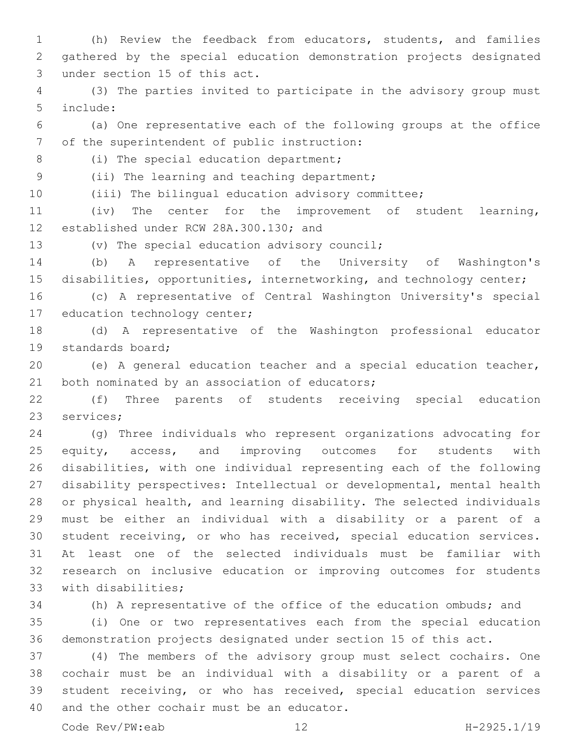(h) Review the feedback from educators, students, and families gathered by the special education demonstration projects designated 3 under section 15 of this act.

 (3) The parties invited to participate in the advisory group must include:5

 (a) One representative each of the following groups at the office 7 of the superintendent of public instruction:

8 (i) The special education department;

9 (ii) The learning and teaching department;

(iii) The bilingual education advisory committee;

 (iv) The center for the improvement of student learning, 12 established under RCW 28A.300.130; and

13 (v) The special education advisory council;

 (b) A representative of the University of Washington's 15 disabilities, opportunities, internetworking, and technology center;

 (c) A representative of Central Washington University's special 17 education technology center;

 (d) A representative of the Washington professional educator 19 standards board;

 (e) A general education teacher and a special education teacher, 21 both nominated by an association of educators;

 (f) Three parents of students receiving special education 23 services;

 (g) Three individuals who represent organizations advocating for 25 equity, access, and improving outcomes for students with disabilities, with one individual representing each of the following disability perspectives: Intellectual or developmental, mental health or physical health, and learning disability. The selected individuals must be either an individual with a disability or a parent of a student receiving, or who has received, special education services. At least one of the selected individuals must be familiar with research on inclusive education or improving outcomes for students 33 with disabilities;

 (h) A representative of the office of the education ombuds; and (i) One or two representatives each from the special education

demonstration projects designated under section 15 of this act.

 (4) The members of the advisory group must select cochairs. One cochair must be an individual with a disability or a parent of a student receiving, or who has received, special education services 40 and the other cochair must be an educator.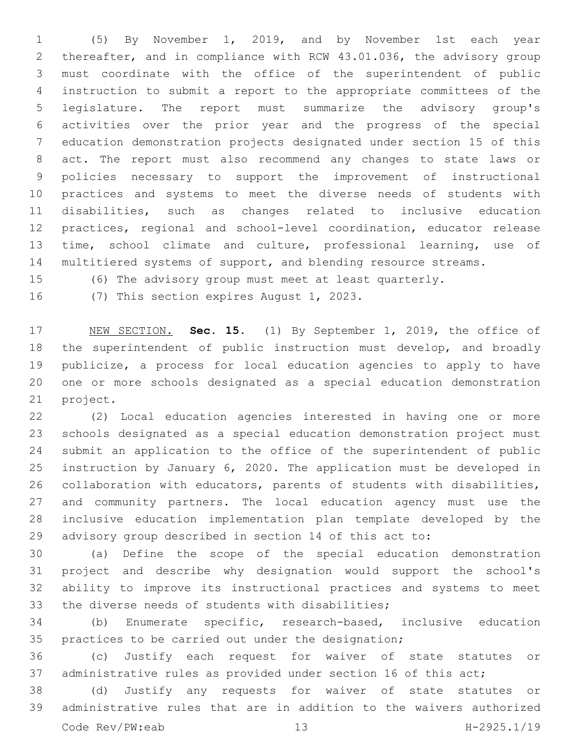(5) By November 1, 2019, and by November 1st each year thereafter, and in compliance with RCW 43.01.036, the advisory group must coordinate with the office of the superintendent of public instruction to submit a report to the appropriate committees of the legislature. The report must summarize the advisory group's activities over the prior year and the progress of the special education demonstration projects designated under section 15 of this act. The report must also recommend any changes to state laws or policies necessary to support the improvement of instructional practices and systems to meet the diverse needs of students with disabilities, such as changes related to inclusive education practices, regional and school-level coordination, educator release time, school climate and culture, professional learning, use of 14 multitiered systems of support, and blending resource streams.

(6) The advisory group must meet at least quarterly.

16 (7) This section expires August 1, 2023.

 NEW SECTION. **Sec. 15.** (1) By September 1, 2019, the office of the superintendent of public instruction must develop, and broadly publicize, a process for local education agencies to apply to have one or more schools designated as a special education demonstration project.

 (2) Local education agencies interested in having one or more schools designated as a special education demonstration project must submit an application to the office of the superintendent of public instruction by January 6, 2020. The application must be developed in collaboration with educators, parents of students with disabilities, and community partners. The local education agency must use the inclusive education implementation plan template developed by the advisory group described in section 14 of this act to:

 (a) Define the scope of the special education demonstration project and describe why designation would support the school's ability to improve its instructional practices and systems to meet 33 the diverse needs of students with disabilities;

 (b) Enumerate specific, research-based, inclusive education practices to be carried out under the designation;

 (c) Justify each request for waiver of state statutes or administrative rules as provided under section 16 of this act;

 (d) Justify any requests for waiver of state statutes or administrative rules that are in addition to the waivers authorized Code Rev/PW:eab 13 H-2925.1/19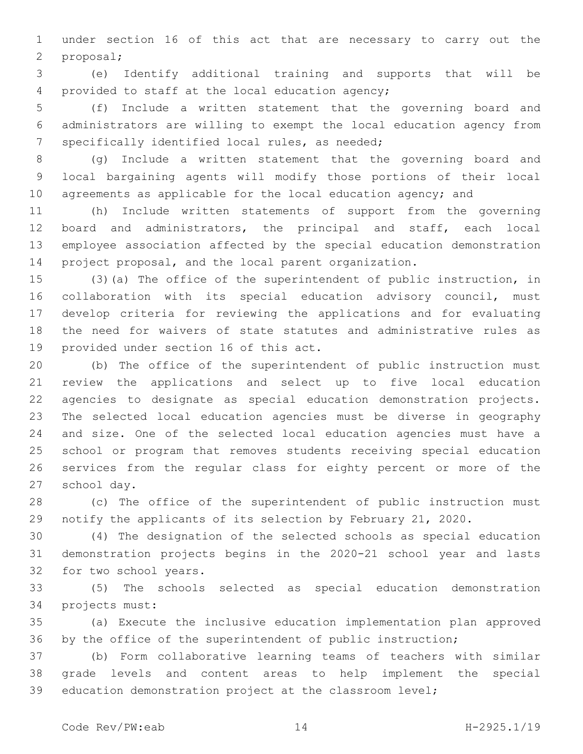under section 16 of this act that are necessary to carry out the proposal;2

 (e) Identify additional training and supports that will be 4 provided to staff at the local education agency;

 (f) Include a written statement that the governing board and administrators are willing to exempt the local education agency from 7 specifically identified local rules, as needed;

 (g) Include a written statement that the governing board and local bargaining agents will modify those portions of their local 10 agreements as applicable for the local education agency; and

 (h) Include written statements of support from the governing board and administrators, the principal and staff, each local employee association affected by the special education demonstration project proposal, and the local parent organization.

 (3)(a) The office of the superintendent of public instruction, in collaboration with its special education advisory council, must develop criteria for reviewing the applications and for evaluating the need for waivers of state statutes and administrative rules as 19 provided under section 16 of this act.

 (b) The office of the superintendent of public instruction must review the applications and select up to five local education agencies to designate as special education demonstration projects. The selected local education agencies must be diverse in geography and size. One of the selected local education agencies must have a school or program that removes students receiving special education services from the regular class for eighty percent or more of the 27 school day.

 (c) The office of the superintendent of public instruction must notify the applicants of its selection by February 21, 2020.

 (4) The designation of the selected schools as special education demonstration projects begins in the 2020-21 school year and lasts 32 for two school years.

 (5) The schools selected as special education demonstration 34 projects must:

 (a) Execute the inclusive education implementation plan approved 36 by the office of the superintendent of public instruction;

 (b) Form collaborative learning teams of teachers with similar grade levels and content areas to help implement the special education demonstration project at the classroom level;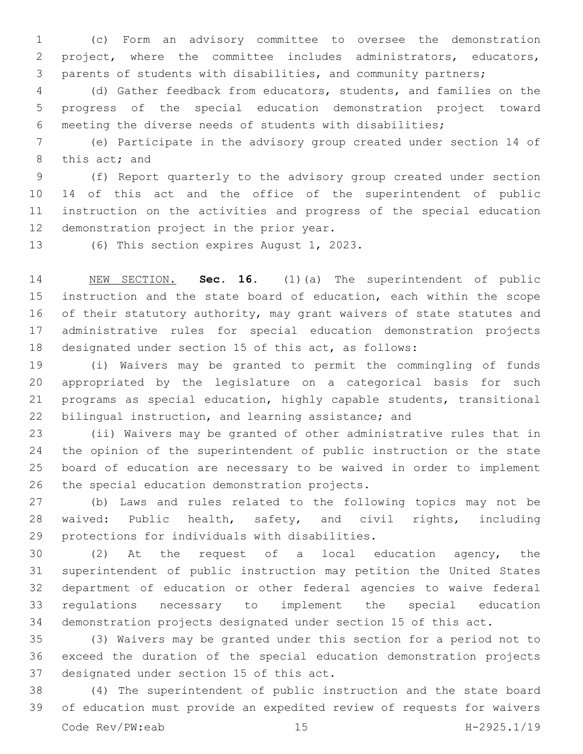(c) Form an advisory committee to oversee the demonstration project, where the committee includes administrators, educators, parents of students with disabilities, and community partners;

 (d) Gather feedback from educators, students, and families on the progress of the special education demonstration project toward meeting the diverse needs of students with disabilities;

 (e) Participate in the advisory group created under section 14 of 8 this act; and

 (f) Report quarterly to the advisory group created under section 14 of this act and the office of the superintendent of public instruction on the activities and progress of the special education 12 demonstration project in the prior year.

13 (6) This section expires August 1, 2023.

 NEW SECTION. **Sec. 16.** (1)(a) The superintendent of public instruction and the state board of education, each within the scope 16 of their statutory authority, may grant waivers of state statutes and administrative rules for special education demonstration projects designated under section 15 of this act, as follows:

 (i) Waivers may be granted to permit the commingling of funds appropriated by the legislature on a categorical basis for such programs as special education, highly capable students, transitional bilingual instruction, and learning assistance; and

 (ii) Waivers may be granted of other administrative rules that in the opinion of the superintendent of public instruction or the state board of education are necessary to be waived in order to implement 26 the special education demonstration projects.

 (b) Laws and rules related to the following topics may not be waived: Public health, safety, and civil rights, including 29 protections for individuals with disabilities.

 (2) At the request of a local education agency, the superintendent of public instruction may petition the United States department of education or other federal agencies to waive federal regulations necessary to implement the special education demonstration projects designated under section 15 of this act.

 (3) Waivers may be granted under this section for a period not to exceed the duration of the special education demonstration projects 37 designated under section 15 of this act.

 (4) The superintendent of public instruction and the state board of education must provide an expedited review of requests for waivers Code Rev/PW:eab 15 H-2925.1/19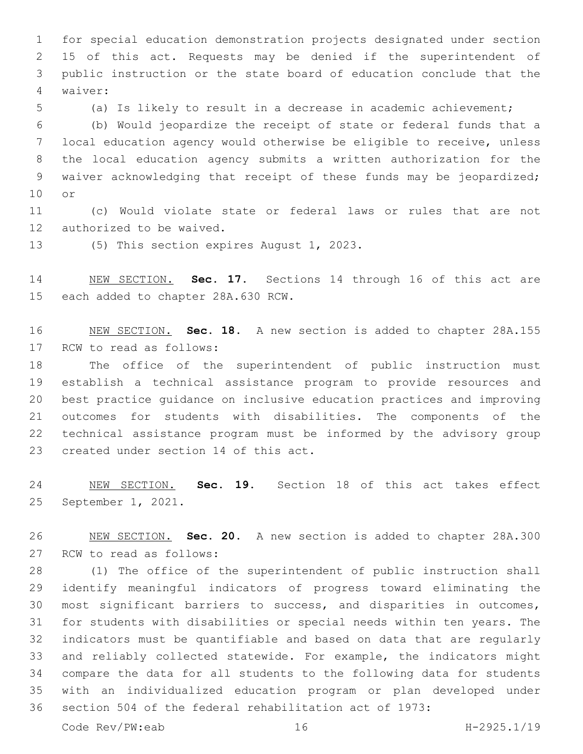for special education demonstration projects designated under section 15 of this act. Requests may be denied if the superintendent of public instruction or the state board of education conclude that the waiver:4

(a) Is likely to result in a decrease in academic achievement;

 (b) Would jeopardize the receipt of state or federal funds that a local education agency would otherwise be eligible to receive, unless the local education agency submits a written authorization for the waiver acknowledging that receipt of these funds may be jeopardized; 10 or

 (c) Would violate state or federal laws or rules that are not 12 authorized to be waived.

13 (5) This section expires August 1, 2023.

 NEW SECTION. **Sec. 17.** Sections 14 through 16 of this act are each added to chapter 28A.630 RCW.

 NEW SECTION. **Sec. 18.** A new section is added to chapter 28A.155 17 RCW to read as follows:

 The office of the superintendent of public instruction must establish a technical assistance program to provide resources and best practice guidance on inclusive education practices and improving outcomes for students with disabilities. The components of the technical assistance program must be informed by the advisory group 23 created under section 14 of this act.

 NEW SECTION. **Sec. 19.** Section 18 of this act takes effect September 1, 2021.

 NEW SECTION. **Sec. 20.** A new section is added to chapter 28A.300 27 RCW to read as follows:

 (1) The office of the superintendent of public instruction shall identify meaningful indicators of progress toward eliminating the most significant barriers to success, and disparities in outcomes, for students with disabilities or special needs within ten years. The indicators must be quantifiable and based on data that are regularly and reliably collected statewide. For example, the indicators might compare the data for all students to the following data for students with an individualized education program or plan developed under section 504 of the federal rehabilitation act of 1973:

Code Rev/PW:eab 16 H-2925.1/19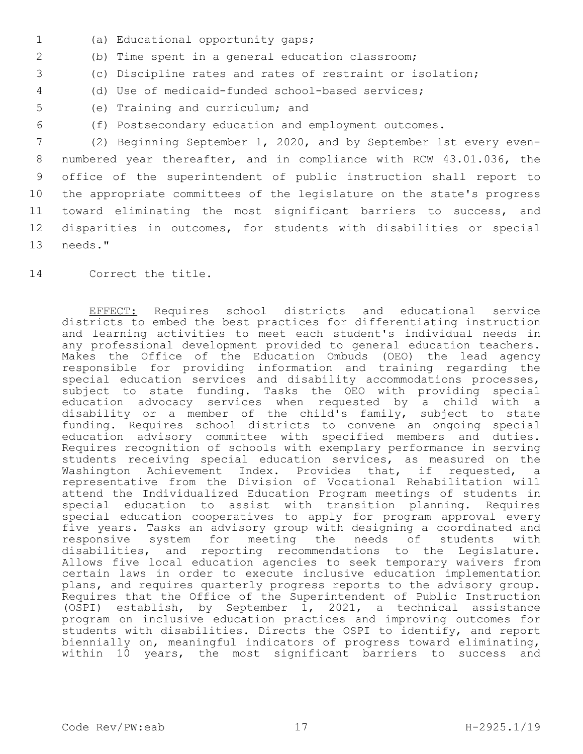- (a) Educational opportunity gaps;1
- 2 (b) Time spent in a general education classroom;
- 3 (c) Discipline rates and rates of restraint or isolation;
- 4 (d) Use of medicaid-funded school-based services;
- 5 (e) Training and curriculum; and
- 6 (f) Postsecondary education and employment outcomes.

 (2) Beginning September 1, 2020, and by September 1st every even- numbered year thereafter, and in compliance with RCW 43.01.036, the office of the superintendent of public instruction shall report to the appropriate committees of the legislature on the state's progress toward eliminating the most significant barriers to success, and disparities in outcomes, for students with disabilities or special 13 needs."

14 Correct the title.

EFFECT: Requires school districts and educational service districts to embed the best practices for differentiating instruction and learning activities to meet each student's individual needs in any professional development provided to general education teachers. Makes the Office of the Education Ombuds (OEO) the lead agency responsible for providing information and training regarding the special education services and disability accommodations processes, subject to state funding. Tasks the OEO with providing special education advocacy services when requested by a child with a disability or a member of the child's family, subject to state funding. Requires school districts to convene an ongoing special education advisory committee with specified members and duties. Requires recognition of schools with exemplary performance in serving students receiving special education services, as measured on the Washington Achievement Index. Provides that, if requested, a representative from the Division of Vocational Rehabilitation will attend the Individualized Education Program meetings of students in special education to assist with transition planning. Requires special education cooperatives to apply for program approval every five years. Tasks an advisory group with designing a coordinated and responsive system for meeting the needs of students with disabilities, and reporting recommendations to the Legislature. Allows five local education agencies to seek temporary waivers from certain laws in order to execute inclusive education implementation plans, and requires quarterly progress reports to the advisory group. Requires that the Office of the Superintendent of Public Instruction (OSPI) establish, by September  $1$ , 2021, a technical assistance program on inclusive education practices and improving outcomes for students with disabilities. Directs the OSPI to identify, and report biennially on, meaningful indicators of progress toward eliminating, within 10 years, the most significant barriers to success and